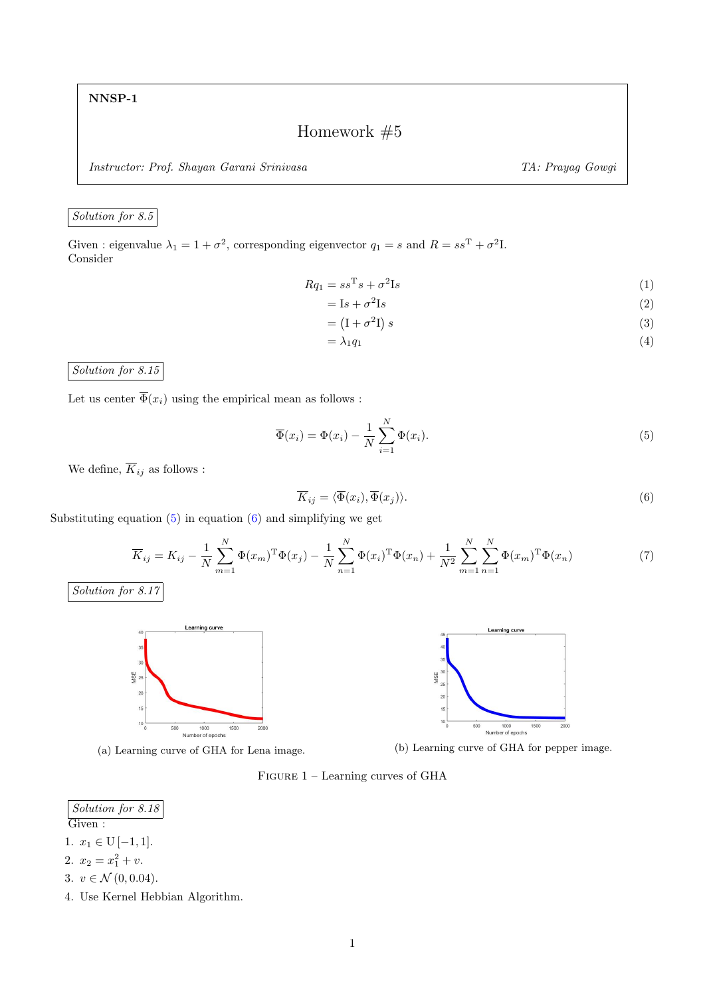NNSP-1

Homework  $#5$ 

Instructor: Prof. Shayan Garani Srinivasa TA: Prayag Gowgi

## Solution for 8.5

Given : eigenvalue  $\lambda_1 = 1 + \sigma^2$ , corresponding eigenvector  $q_1 = s$  and  $R = ss^T + \sigma^2 I$ . Consider

$$
Rq_1 = ss^T s + \sigma^2 \mathbf{I} s \tag{1}
$$

$$
= \mathbf{I}s + \sigma^2 \mathbf{I}s \tag{2}
$$

$$
= \left( \mathbf{I} + \sigma^2 \mathbf{I} \right) s \tag{3}
$$

$$
=\lambda_1 q_1\tag{4}
$$

Solution for 8.15

Let us center  $\overline{\Phi}(x_i)$  using the empirical mean as follows :

<span id="page-0-0"></span>
$$
\overline{\Phi}(x_i) = \Phi(x_i) - \frac{1}{N} \sum_{i=1}^{N} \Phi(x_i).
$$
\n(5)

We define,  $\overline{K}_{ij}$  as follows :

<span id="page-0-1"></span>
$$
\overline{K}_{ij} = \langle \overline{\Phi}(x_i), \overline{\Phi}(x_j) \rangle.
$$
\n(6)

Substituting equation  $(5)$  in equation  $(6)$  and simplifying we get

$$
\overline{K}_{ij} = K_{ij} - \frac{1}{N} \sum_{m=1}^{N} \Phi(x_m)^{\mathrm{T}} \Phi(x_j) - \frac{1}{N} \sum_{n=1}^{N} \Phi(x_i)^{\mathrm{T}} \Phi(x_n) + \frac{1}{N^2} \sum_{m=1}^{N} \sum_{n=1}^{N} \Phi(x_m)^{\mathrm{T}} \Phi(x_n)
$$
\n(7)

Solution for 
$$
8.17
$$





(a) Learning curve of GHA for Lena image. (b) Learning curve of GHA for pepper image.

Figure 1 – Learning curves of GHA

Solution for 8.18

Given :

- 1.  $x_1 \in U[-1,1]$ .
- 2.  $x_2 = x_1^2 + v$ .
- 3.  $v \in \mathcal{N}(0, 0.04)$ .
- 4. Use Kernel Hebbian Algorithm.